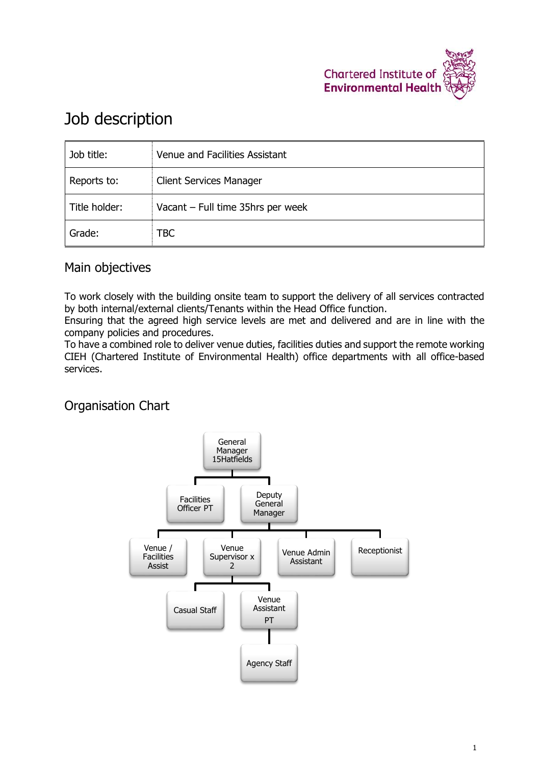

# Job description

| Job title:    | Venue and Facilities Assistant    |
|---------------|-----------------------------------|
| Reports to:   | <b>Client Services Manager</b>    |
| Title holder: | Vacant - Full time 35hrs per week |
| Grade:        | TBC                               |

# Main objectives

To work closely with the building onsite team to support the delivery of all services contracted by both internal/external clients/Tenants within the Head Office function.

Ensuring that the agreed high service levels are met and delivered and are in line with the company policies and procedures.

To have a combined role to deliver venue duties, facilities duties and support the remote working CIEH (Chartered Institute of Environmental Health) office departments with all office-based services.

# Organisation Chart

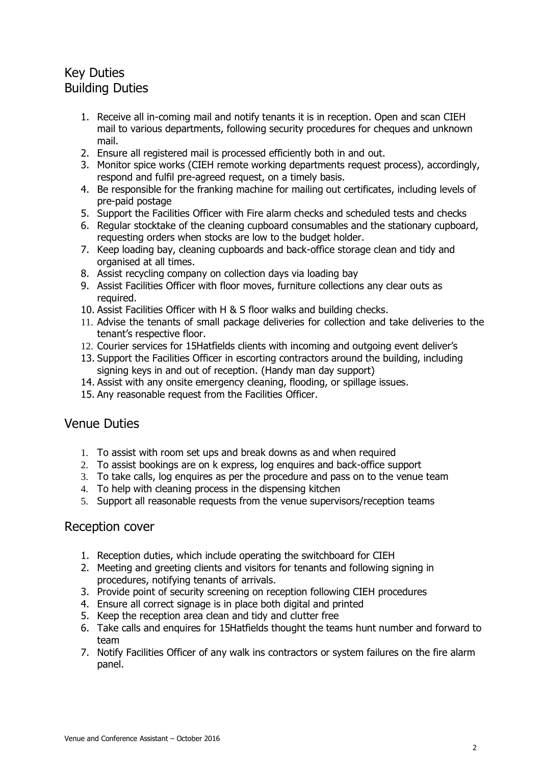# Key Duties Building Duties

- 1. Receive all in-coming mail and notify tenants it is in reception. Open and scan CIEH mail to various departments, following security procedures for cheques and unknown mail.
- 2. Ensure all registered mail is processed efficiently both in and out.
- 3. Monitor spice works (CIEH remote working departments request process), accordingly, respond and fulfil pre-agreed request, on a timely basis.
- 4. Be responsible for the franking machine for mailing out certificates, including levels of pre-paid postage
- 5. Support the Facilities Officer with Fire alarm checks and scheduled tests and checks
- 6. Regular stocktake of the cleaning cupboard consumables and the stationary cupboard, requesting orders when stocks are low to the budget holder.
- 7. Keep loading bay, cleaning cupboards and back-office storage clean and tidy and organised at all times.
- 8. Assist recycling company on collection days via loading bay
- 9. Assist Facilities Officer with floor moves, furniture collections any clear outs as required.
- 10. Assist Facilities Officer with H & S floor walks and building checks.
- 11. Advise the tenants of small package deliveries for collection and take deliveries to the tenant's respective floor.
- 12. Courier services for 15Hatfields clients with incoming and outgoing event deliver's
- 13. Support the Facilities Officer in escorting contractors around the building, including signing keys in and out of reception. (Handy man day support)
- 14. Assist with any onsite emergency cleaning, flooding, or spillage issues.
- 15. Any reasonable request from the Facilities Officer.

#### Venue Duties

- 1. To assist with room set ups and break downs as and when required
- 2. To assist bookings are on k express, log enquires and back-office support
- 3. To take calls, log enquires as per the procedure and pass on to the venue team
- 4. To help with cleaning process in the dispensing kitchen
- 5. Support all reasonable requests from the venue supervisors/reception teams

#### Reception cover

- 1. Reception duties, which include operating the switchboard for CIEH
- 2. Meeting and greeting clients and visitors for tenants and following signing in procedures, notifying tenants of arrivals.
- 3. Provide point of security screening on reception following CIEH procedures
- 4. Ensure all correct signage is in place both digital and printed
- 5. Keep the reception area clean and tidy and clutter free
- 6. Take calls and enquires for 15Hatfields thought the teams hunt number and forward to team
- 7. Notify Facilities Officer of any walk ins contractors or system failures on the fire alarm panel.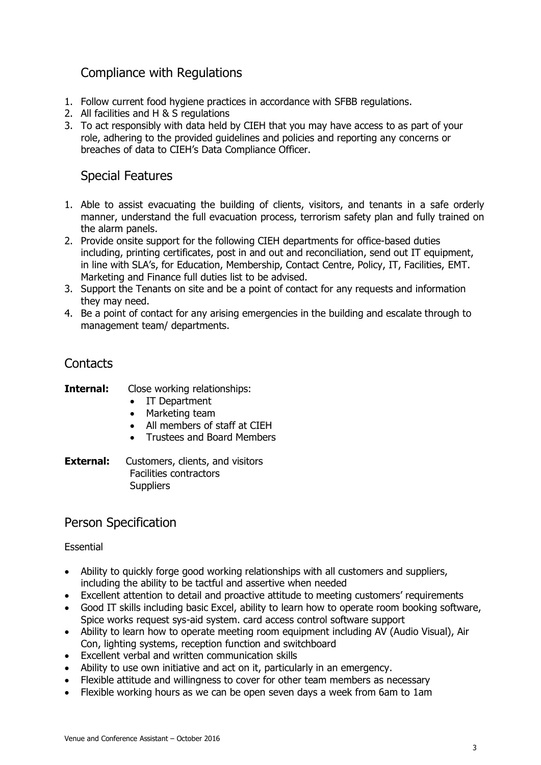# Compliance with Regulations

- 1. Follow current food hygiene practices in accordance with SFBB regulations.
- 2. All facilities and H & S regulations
- 3. To act responsibly with data held by CIEH that you may have access to as part of your role, adhering to the provided guidelines and policies and reporting any concerns or breaches of data to CIEH's Data Compliance Officer.

## Special Features

- 1. Able to assist evacuating the building of clients, visitors, and tenants in a safe orderly manner, understand the full evacuation process, terrorism safety plan and fully trained on the alarm panels.
- 2. Provide onsite support for the following CIEH departments for office-based duties including, printing certificates, post in and out and reconciliation, send out IT equipment, in line with SLA's, for Education, Membership, Contact Centre, Policy, IT, Facilities, EMT. Marketing and Finance full duties list to be advised.
- 3. Support the Tenants on site and be a point of contact for any requests and information they may need.
- 4. Be a point of contact for any arising emergencies in the building and escalate through to management team/ departments.

## **Contacts**

- **Internal:** Close working relationships:
	- IT Department
	- Marketing team
	- All members of staff at CIEH
	- Trustees and Board Members
- **External:** Customers, clients, and visitors Facilities contractors **Suppliers**

### Person Specification

#### Essential

- Ability to quickly forge good working relationships with all customers and suppliers, including the ability to be tactful and assertive when needed
- Excellent attention to detail and proactive attitude to meeting customers' requirements
- Good IT skills including basic Excel, ability to learn how to operate room booking software, Spice works request sys-aid system. card access control software support
- Ability to learn how to operate meeting room equipment including AV (Audio Visual), Air Con, lighting systems, reception function and switchboard
- Excellent verbal and written communication skills
- Ability to use own initiative and act on it, particularly in an emergency.
- Flexible attitude and willingness to cover for other team members as necessary
- Flexible working hours as we can be open seven days a week from 6am to 1am